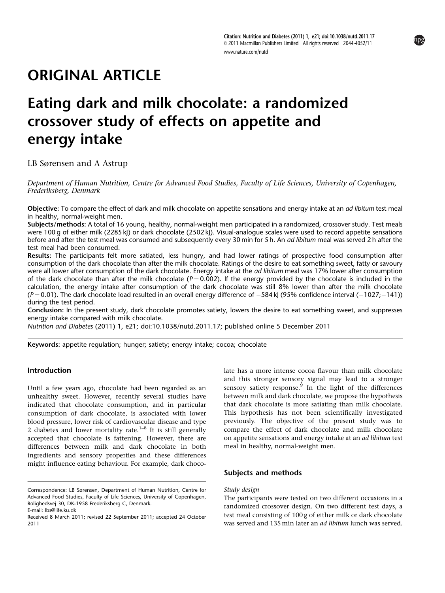#### [www.nature.com/nutd](http://www.nature.com/nutd)

# ORIGINAL ARTICLE

## Eating dark and milk chocolate: a randomized crossover study of effects on appetite and energy intake

LB Sørensen and A Astrup

Department of Human Nutrition, Centre for Advanced Food Studies, Faculty of Life Sciences, University of Copenhagen, Frederiksberg, Denmark

Objective: To compare the effect of dark and milk chocolate on appetite sensations and energy intake at an ad libitum test meal in healthy, normal-weight men.

Subjects/methods: A total of 16 young, healthy, normal-weight men participated in a randomized, crossover study. Test meals were 100 g of either milk (2285 kJ) or dark chocolate (2502 kJ). Visual-analogue scales were used to record appetite sensations before and after the test meal was consumed and subsequently every 30 min for 5 h. An ad libitum meal was served 2 h after the test meal had been consumed.

Results: The participants felt more satiated, less hungry, and had lower ratings of prospective food consumption after consumption of the dark chocolate than after the milk chocolate. Ratings of the desire to eat something sweet, fatty or savoury were all lower after consumption of the dark chocolate. Energy intake at the *ad libitum* meal was 17% lower after consumption of the dark chocolate than after the milk chocolate ( $P = 0.002$ ). If the energy provided by the chocolate is included in the calculation, the energy intake after consumption of the dark chocolate was still 8% lower than after the milk chocolate (P=0.01). The dark chocolate load resulted in an overall energy difference of  $-584$  kJ (95% confidence interval ( $-1027$ ; $-141$ )) during the test period.

Conclusion: In the present study, dark chocolate promotes satiety, lowers the desire to eat something sweet, and suppresses energy intake compared with milk chocolate.

Nutrition and Diabetes (2011) 1, e21; doi:[10.1038/nutd.2011.17](http://dx.doi.org/10.1038/nutd.2011.17); published online 5 December 2011

Keywords: appetite regulation; hunger; satiety; energy intake; cocoa; chocolate

## Introduction

Until a few years ago, chocolate had been regarded as an unhealthy sweet. However, recently several studies have indicated that chocolate consumption, and in particular consumption of dark chocolate, is associated with lower blood pressure, lower risk of cardiovascular disease and type 2 diabetes and lower mortality rate.<sup>[1–8](#page-4-0)</sup> It is still generally accepted that chocolate is fattening. However, there are differences between milk and dark chocolate in both ingredients and sensory properties and these differences might influence eating behaviour. For example, dark choco-

Correspondence: LB Sørensen, Department of Human Nutrition, Centre for Advanced Food Studies, Faculty of Life Sciences, University of Copenhagen, Rolighedsvej 30, DK-1958 Frederiksberg C, Denmark. E-mail: [lbs@life.ku.dk](mailto:lbs@life.ku.dk)

late has a more intense cocoa flavour than milk chocolate and this stronger sensory signal may lead to a stronger sensory satiety response.<sup>[9](#page-5-0)</sup> In the light of the differences between milk and dark chocolate, we propose the hypothesis that dark chocolate is more satiating than milk chocolate. This hypothesis has not been scientifically investigated previously. The objective of the present study was to compare the effect of dark chocolate and milk chocolate on appetite sensations and energy intake at an ad libitum test meal in healthy, normal-weight men.

## Subjects and methods

## Study design

The participants were tested on two different occasions in a randomized crossover design. On two different test days, a test meal consisting of 100 g of either milk or dark chocolate was served and 135 min later an ad libitum lunch was served.

Received 8 March 2011; revised 22 September 2011; accepted 24 October 2011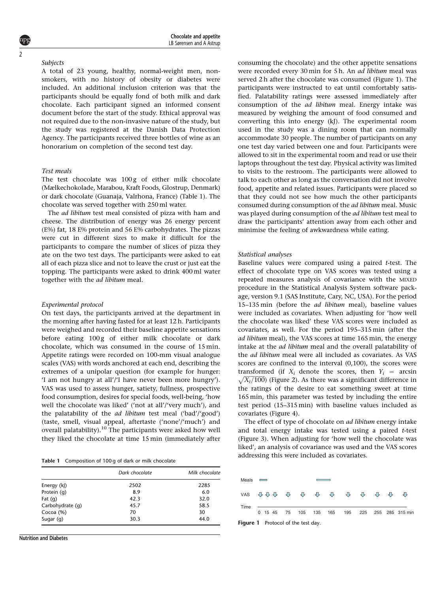#### Subjects

A total of 23 young, healthy, normal-weight men, nonsmokers, with no history of obesity or diabetes were included. An additional inclusion criterion was that the participants should be equally fond of both milk and dark chocolate. Each participant signed an informed consent document before the start of the study. Ethical approval was not required due to the non-invasive nature of the study, but the study was registered at the Danish Data Protection Agency. The participants received three bottles of wine as an honorarium on completion of the second test day.

#### Test meals

The test chocolate was 100g of either milk chocolate (Mælkechokolade, Marabou, Kraft Foods, Glostrup, Denmark) or dark chocolate (Guanaja, Valrhona, France) (Table 1). The chocolate was served together with 250 ml water.

The ad libitum test meal consisted of pizza with ham and cheese. The distribution of energy was 26 energy percent (E%) fat, 18 E% protein and 56 E% carbohydrates. The pizzas were cut in different sizes to make it difficult for the participants to compare the number of slices of pizza they ate on the two test days. The participants were asked to eat all of each pizza slice and not to leave the crust or just eat the topping. The participants were asked to drink 400 ml water together with the ad libitum meal.

#### Experimental protocol

On test days, the participants arrived at the department in the morning after having fasted for at least 12 h. Participants were weighed and recorded their baseline appetite sensations before eating 100g of either milk chocolate or dark chocolate, which was consumed in the course of 15 min. Appetite ratings were recorded on 100-mm visual analogue scales (VAS) with words anchored at each end, describing the extremes of a unipolar question (for example for hunger: 'I am not hungry at all'/'I have never been more hungry'). VAS was used to assess hunger, satiety, fullness, prospective food consumption, desires for special foods, well-being, 'how well the chocolate was liked' ('not at all'/'very much'), and the palatability of the ad libitum test meal ('bad'/'good') (taste, smell, visual appeal, aftertaste ('none'/'much') and overall palatability)[.10](#page-5-0) The participants were asked how well they liked the chocolate at time 15 min (immediately after

|                  | Dark chocolate | Milk chocolate |
|------------------|----------------|----------------|
| Energy (kJ)      | 2502           | 2285           |
| Protein (q)      | 8.9            | 6.0            |
| Fat $(q)$        | 42.3           | 32.0           |
| Carbohydrate (q) | 45.7           | 58.5           |
| Cocoa $(%)$      | 70             | 30             |
| Sugar $(q)$      | 30.3           | 44.0           |

Nutrition and Diabetes

consuming the chocolate) and the other appetite sensations were recorded every 30 min for 5 h. An ad libitum meal was served 2 h after the chocolate was consumed (Figure 1). The participants were instructed to eat until comfortably satisfied. Palatability ratings were assessed immediately after consumption of the ad libitum meal. Energy intake was measured by weighing the amount of food consumed and converting this into energy (kJ). The experimental room used in the study was a dining room that can normally accommodate 30 people. The number of participants on any one test day varied between one and four. Participants were allowed to sit in the experimental room and read or use their laptops throughout the test day. Physical activity was limited to visits to the restroom. The participants were allowed to talk to each other as long as the conversation did not involve food, appetite and related issues. Participants were placed so that they could not see how much the other participants consumed during consumption of the ad libitum meal. Music was played during consumption of the ad libitum test meal to draw the participants' attention away from each other and minimise the feeling of awkwardness while eating.

#### Statistical analyses

Baseline values were compared using a paired t-test. The effect of chocolate type on VAS scores was tested using a repeated measures analysis of covariance with the MIXED procedure in the Statistical Analysis System software package, version 9.1 (SAS Institute, Cary, NC, USA). For the period 15–135 min (before the ad libitum meal), baseline values were included as covariates. When adjusting for 'how well the chocolate was liked' these VAS scores were included as covariates, as well. For the period 195–315 min (after the ad libitum meal), the VAS scores at time 165 min, the energy intake at the ad libitum meal and the overall palatability of the ad libitum meal were all included as covariates. As VAS scores are confined to the interval (0,100), the scores were transformed (if  $X_i$  denote the scores, then  $Y_i = \arcsin$  $\sqrt{X_i/100}$ ) [\(Figure 2](#page-2-0)). As there was a significant difference in the ratings of the desire to eat something sweet at time 165 min, this parameter was tested by including the entire test period (15–315 min) with baseline values included as covariates ([Figure 4\)](#page-3-0).

The effect of type of chocolate on *ad libitum* energy intake and total energy intake was tested using a paired t-test ([Figure 3](#page-2-0)). When adjusting for 'how well the chocolate was liked', an analysis of covariance was used and the VAS scores addressing this were included as covariates. Table 1 Composition of 100 g of dark or milk chocolate



2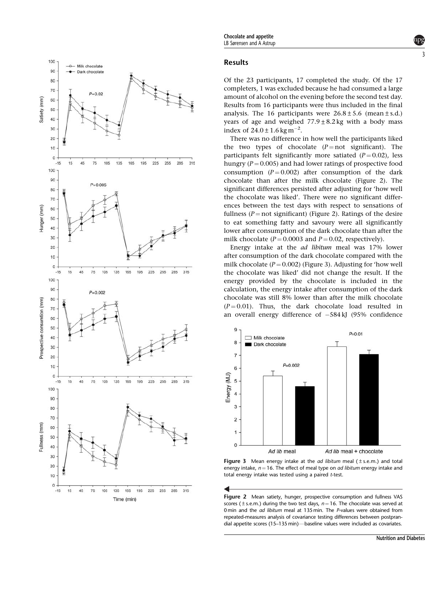<span id="page-2-0"></span>

#### Results

Of the 23 participants, 17 completed the study. Of the 17 completers, 1 was excluded because he had consumed a large amount of alcohol on the evening before the second test day. Results from 16 participants were thus included in the final analysis. The 16 participants were  $26.8 \pm 5.6$  (mean  $\pm$  s.d.) years of age and weighed  $77.9 \pm 8.2$  kg with a body mass index of  $24.0 \pm 1.6$  kg m<sup>-2</sup>.

There was no difference in how well the participants liked the two types of chocolate  $(P = not$  significant). The participants felt significantly more satiated  $(P = 0.02)$ , less hungry ( $P = 0.005$ ) and had lower ratings of prospective food consumption  $(P = 0.002)$  after consumption of the dark chocolate than after the milk chocolate (Figure 2). The significant differences persisted after adjusting for 'how well the chocolate was liked'. There were no significant differences between the test days with respect to sensations of fullness ( $P =$ not significant) (Figure 2). Ratings of the desire to eat something fatty and savoury were all significantly lower after consumption of the dark chocolate than after the milk chocolate ( $P = 0.0003$  and  $P = 0.02$ , respectively).

Energy intake at the ad libitum meal was 17% lower after consumption of the dark chocolate compared with the milk chocolate ( $P = 0.002$ ) (Figure 3). Adjusting for 'how well the chocolate was liked' did not change the result. If the energy provided by the chocolate is included in the calculation, the energy intake after consumption of the dark chocolate was still 8% lower than after the milk chocolate  $(P = 0.01)$ . Thus, the dark chocolate load resulted in an overall energy difference of -584 kJ (95% confidence



Figure 3 Mean energy intake at the  $ad$  libitum meal ( $\pm$ s.e.m.) and total energy intake,  $n = 16$ . The effect of meal type on *ad libitum* energy intake and total energy intake was tested using a paired t-test.

Figure 2 Mean satiety, hunger, prospective consumption and fullness VAS scores ( $\pm$ s.e.m.) during the two test days,  $n=16$ . The chocolate was served at 0 min and the *ad libitum* meal at 135 min. The *P*-values were obtained from repeated-measures analysis of covariance testing differences between postprandial appetite scores (15–135 min)-baseline values were included as covariates.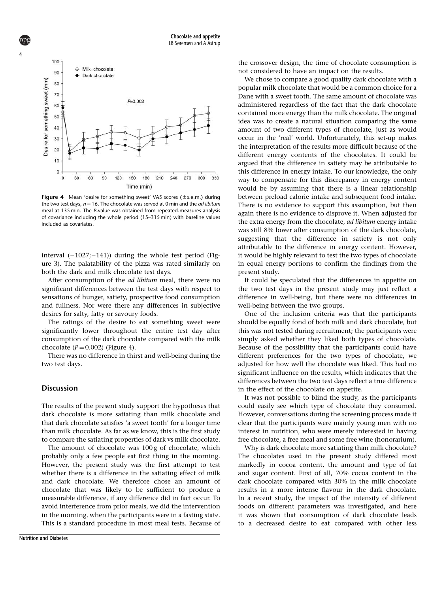

Figure 4 Mean 'desire for something sweet' VAS scores (±s.e.m.) during the two test days,  $n = 16$ . The chocolate was served at 0 min and the *ad libitum* meal at 135 min. The P-value was obtained from repeated-measures analysis of covariance including the whole period (15–315 min) with baseline values included as covariates.

 $\arctan(-1027; -141)$  during the whole test period [\(Fig](#page-2-0)[ure 3\)](#page-2-0). The palatability of the pizza was rated similarly on both the dark and milk chocolate test days.

After consumption of the ad libitum meal, there were no significant differences between the test days with respect to sensations of hunger, satiety, prospective food consumption and fullness. Nor were there any differences in subjective desires for salty, fatty or savoury foods.

The ratings of the desire to eat something sweet were significantly lower throughout the entire test day after consumption of the dark chocolate compared with the milk chocolate  $(P = 0.002)$  (Figure 4).

There was no difference in thirst and well-being during the two test days.

## Discussion

<span id="page-3-0"></span>4

The results of the present study support the hypotheses that dark chocolate is more satiating than milk chocolate and that dark chocolate satisfies 'a sweet tooth' for a longer time than milk chocolate. As far as we know, this is the first study to compare the satiating properties of dark vs milk chocolate.

The amount of chocolate was 100 g of chocolate, which probably only a few people eat first thing in the morning. However, the present study was the first attempt to test whether there is a difference in the satiating effect of milk and dark chocolate. We therefore chose an amount of chocolate that was likely to be sufficient to produce a measurable difference, if any difference did in fact occur. To avoid interference from prior meals, we did the intervention in the morning, when the participants were in a fasting state. This is a standard procedure in most meal tests. Because of the crossover design, the time of chocolate consumption is not considered to have an impact on the results.

We chose to compare a good quality dark chocolate with a popular milk chocolate that would be a common choice for a Dane with a sweet tooth. The same amount of chocolate was administered regardless of the fact that the dark chocolate contained more energy than the milk chocolate. The original idea was to create a natural situation comparing the same amount of two different types of chocolate, just as would occur in the 'real' world. Unfortunately, this set-up makes the interpretation of the results more difficult because of the different energy contents of the chocolates. It could be argued that the difference in satiety may be attributable to this difference in energy intake. To our knowledge, the only way to compensate for this discrepancy in energy content would be by assuming that there is a linear relationship between preload calorie intake and subsequent food intake. There is no evidence to support this assumption, but then again there is no evidence to disprove it. When adjusted for the extra energy from the chocolate, ad libitum energy intake was still 8% lower after consumption of the dark chocolate, suggesting that the difference in satiety is not only attributable to the difference in energy content. However, it would be highly relevant to test the two types of chocolate in equal energy portions to confirm the findings from the present study.

It could be speculated that the differences in appetite on the two test days in the present study may just reflect a difference in well-being, but there were no differences in well-being between the two groups.

One of the inclusion criteria was that the participants should be equally fond of both milk and dark chocolate, but this was not tested during recruitment; the participants were simply asked whether they liked both types of chocolate. Because of the possibility that the participants could have different preferences for the two types of chocolate, we adjusted for how well the chocolate was liked. This had no significant influence on the results, which indicates that the differences between the two test days reflect a true difference in the effect of the chocolate on appetite.

It was not possible to blind the study, as the participants could easily see which type of chocolate they consumed. However, conversations during the screening process made it clear that the participants were mainly young men with no interest in nutrition, who were merely interested in having free chocolate, a free meal and some free wine (honorarium).

Why is dark chocolate more satiating than milk chocolate? The chocolates used in the present study differed most markedly in cocoa content, the amount and type of fat and sugar content. First of all, 70% cocoa content in the dark chocolate compared with 30% in the milk chocolate results in a more intense flavour in the dark chocolate. In a recent study, the impact of the intensity of different foods on different parameters was investigated, and here it was shown that consumption of dark chocolate leads to a decreased desire to eat compared with other less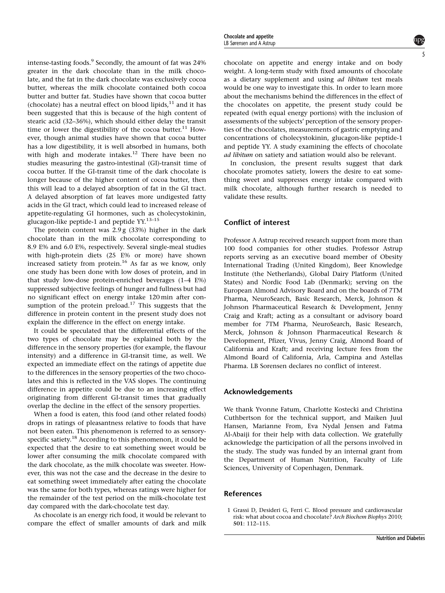<span id="page-4-0"></span>intense-tasting foods.<sup>[9](#page-5-0)</sup> Secondly, the amount of fat was 24% greater in the dark chocolate than in the milk chocolate, and the fat in the dark chocolate was exclusively cocoa butter, whereas the milk chocolate contained both cocoa butter and butter fat. Studies have shown that cocoa butter (chocolate) has a neutral effect on blood lipids, $11$  and it has been suggested that this is because of the high content of stearic acid (32–36%), which should either delay the transit time or lower the digestibility of the cocoa butter.<sup>[11](#page-5-0)</sup> However, though animal studies have shown that cocoa butter has a low digestibility, it is well absorbed in humans, both with high and moderate intakes.<sup>[12](#page-5-0)</sup> There have been no studies measuring the gastro-intestinal (GI)-transit time of cocoa butter. If the GI-transit time of the dark chocolate is longer because of the higher content of cocoa butter, then this will lead to a delayed absorption of fat in the GI tract. A delayed absorption of fat leaves more undigested fatty acids in the GI tract, which could lead to increased release of appetite-regulating GI hormones, such as cholecystokinin, glucagon-like peptide-1 and peptide YY.[13–15](#page-5-0)

The protein content was 2.9 g (33%) higher in the dark chocolate than in the milk chocolate corresponding to 8.9 E% and 6.0 E%, respectively. Several single-meal studies with high-protein diets (25 E% or more) have shown increased satiety from protein.[16](#page-5-0) As far as we know, only one study has been done with low doses of protein, and in that study low-dose protein-enriched beverages (1–4 E%) suppressed subjective feelings of hunger and fullness but had no significant effect on energy intake 120 min after con-sumption of the protein preload.<sup>[17](#page-5-0)</sup> This suggests that the difference in protein content in the present study does not explain the difference in the effect on energy intake.

It could be speculated that the differential effects of the two types of chocolate may be explained both by the difference in the sensory properties (for example, the flavour intensity) and a difference in GI-transit time, as well. We expected an immediate effect on the ratings of appetite due to the differences in the sensory properties of the two chocolates and this is reflected in the VAS slopes. The continuing difference in appetite could be due to an increasing effect originating from different GI-transit times that gradually overlap the decline in the effect of the sensory properties.

When a food is eaten, this food (and other related foods) drops in ratings of pleasantness relative to foods that have not been eaten. This phenomenon is referred to as sensory-specific satiety.<sup>[18](#page-5-0)</sup> According to this phenomenon, it could be expected that the desire to eat something sweet would be lower after consuming the milk chocolate compared with the dark chocolate, as the milk chocolate was sweeter. However, this was not the case and the decrease in the desire to eat something sweet immediately after eating the chocolate was the same for both types, whereas ratings were higher for the remainder of the test period on the milk-chocolate test day compared with the dark-chocolate test day.

As chocolate is an energy rich food, it would be relevant to compare the effect of smaller amounts of dark and milk

chocolate on appetite and energy intake and on body weight. A long-term study with fixed amounts of chocolate as a dietary supplement and using ad libitum test meals would be one way to investigate this. In order to learn more about the mechanisms behind the differences in the effect of the chocolates on appetite, the present study could be repeated (with equal energy portions) with the inclusion of assessments of the subjects' perception of the sensory properties of the chocolates, measurements of gastric emptying and concentrations of cholecystokinin, glucagon-like peptide-1 and peptide YY. A study examining the effects of chocolate ad libitum on satiety and satiation would also be relevant.

In conclusion, the present results suggest that dark chocolate promotes satiety, lowers the desire to eat something sweet and suppresses energy intake compared with milk chocolate, although further research is needed to validate these results.

## Conflict of interest

Professor A Astrup received research support from more than 100 food companies for other studies. Professor Astrup reports serving as an executive board member of Obesity International Trading (United Kingdom), Beer Knowledge Institute (the Netherlands), Global Dairy Platform (United States) and Nordic Food Lab (Denmark); serving on the European Almond Advisory Board and on the boards of 7TM Pharma, NeuroSearch, Basic Research, Merck, Johnson & Johnson Pharmaceutical Research & Development, Jenny Craig and Kraft; acting as a consultant or advisory board member for 7TM Pharma, NeuroSearch, Basic Research, Merck, Johnson & Johnson Pharmaceutical Research & Development, Pfizer, Vivus, Jenny Craig, Almond Board of California and Kraft; and receiving lecture fees from the Almond Board of California, Arla, Campina and Astellas Pharma. LB Sorensen declares no conflict of interest.

### Acknowledgements

We thank Yvonne Fatum, Charlotte Kostecki and Christina Cuthbertson for the technical support, and Maiken Juul Hansen, Marianne From, Eva Nydal Jensen and Fatma Al-Abaiji for their help with data collection. We gratefully acknowledge the participation of all the persons involved in the study. The study was funded by an internal grant from the Department of Human Nutrition, Faculty of Life Sciences, University of Copenhagen, Denmark.

#### References

5

<sup>1</sup> Grassi D, Desideri G, Ferri C. Blood pressure and cardiovascular risk: what about cocoa and chocolate? Arch Biochem Biophys 2010; 501: 112–115.